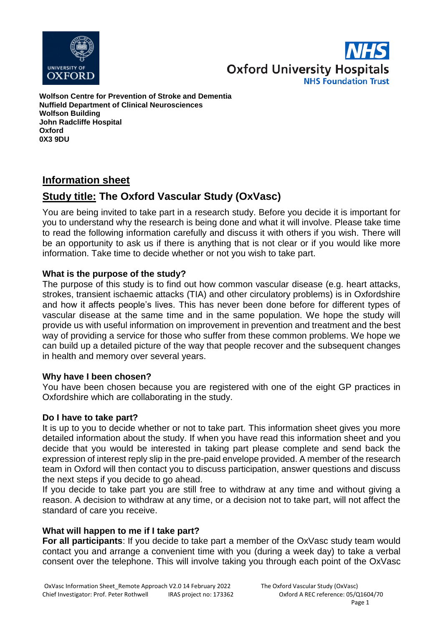



**Wolfson Centre for Prevention of Stroke and Dementia Nuffield Department of Clinical Neurosciences Wolfson Building John Radcliffe Hospital Oxford 0X3 9DU**

# **Information sheet**

# **Study title: The Oxford Vascular Study (OxVasc)**

You are being invited to take part in a research study. Before you decide it is important for you to understand why the research is being done and what it will involve. Please take time to read the following information carefully and discuss it with others if you wish. There will be an opportunity to ask us if there is anything that is not clear or if you would like more information. Take time to decide whether or not you wish to take part.

## **What is the purpose of the study?**

The purpose of this study is to find out how common vascular disease (e.g. heart attacks, strokes, transient ischaemic attacks (TIA) and other circulatory problems) is in Oxfordshire and how it affects people's lives. This has never been done before for different types of vascular disease at the same time and in the same population. We hope the study will provide us with useful information on improvement in prevention and treatment and the best way of providing a service for those who suffer from these common problems. We hope we can build up a detailed picture of the way that people recover and the subsequent changes in health and memory over several years.

#### **Why have I been chosen?**

You have been chosen because you are registered with one of the eight GP practices in Oxfordshire which are collaborating in the study.

#### **Do I have to take part?**

It is up to you to decide whether or not to take part. This information sheet gives you more detailed information about the study. If when you have read this information sheet and you decide that you would be interested in taking part please complete and send back the expression of interest reply slip in the pre-paid envelope provided. A member of the research team in Oxford will then contact you to discuss participation, answer questions and discuss the next steps if you decide to go ahead.

If you decide to take part you are still free to withdraw at any time and without giving a reason. A decision to withdraw at any time, or a decision not to take part, will not affect the standard of care you receive.

# **What will happen to me if I take part?**

**For all participants**: If you decide to take part a member of the OxVasc study team would contact you and arrange a convenient time with you (during a week day) to take a verbal consent over the telephone. This will involve taking you through each point of the OxVasc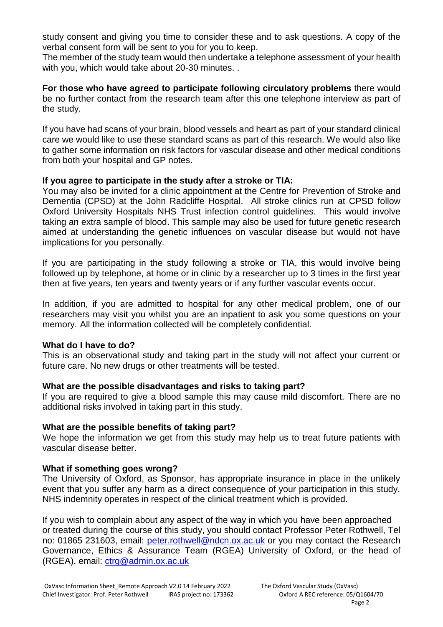study consent and giving you time to consider these and to ask questions. A copy of the verbal consent form will be sent to you for you to keep.

The member of the study team would then undertake a telephone assessment of your health with you, which would take about 20-30 minutes. .

**For those who have agreed to participate following circulatory problems** there would be no further contact from the research team after this one telephone interview as part of the study.

If you have had scans of your brain, blood vessels and heart as part of your standard clinical care we would like to use these standard scans as part of this research. We would also like to gather some information on risk factors for vascular disease and other medical conditions from both your hospital and GP notes.

#### **If you agree to participate in the study after a stroke or TIA:**

You may also be invited for a clinic appointment at the Centre for Prevention of Stroke and Dementia (CPSD) at the John Radcliffe Hospital. All stroke clinics run at CPSD follow Oxford University Hospitals NHS Trust infection control guidelines. This would involve taking an extra sample of blood. This sample may also be used for future genetic research aimed at understanding the genetic influences on vascular disease but would not have implications for you personally.

If you are participating in the study following a stroke or TIA, this would involve being followed up by telephone, at home or in clinic by a researcher up to 3 times in the first year then at five years, ten years and twenty years or if any further vascular events occur.

In addition, if you are admitted to hospital for any other medical problem, one of our researchers may visit you whilst you are an inpatient to ask you some questions on your memory. All the information collected will be completely confidential.

#### **What do I have to do?**

This is an observational study and taking part in the study will not affect your current or future care. No new drugs or other treatments will be tested.

#### **What are the possible disadvantages and risks to taking part?**

If you are required to give a blood sample this may cause mild discomfort. There are no additional risks involved in taking part in this study.

#### **What are the possible benefits of taking part?**

We hope the information we get from this study may help us to treat future patients with vascular disease better.

#### **What if something goes wrong?**

The University of Oxford, as Sponsor, has appropriate insurance in place in the unlikely event that you suffer any harm as a direct consequence of your participation in this study. NHS indemnity operates in respect of the clinical treatment which is provided.

If you wish to complain about any aspect of the way in which you have been approached or treated during the course of this study, you should contact Professor Peter Rothwell, Tel no: 01865 231603, email: [peter.rothwell@ndcn.ox.ac.uk](mailto:peter.rothwell@ndcn.ox.ac.uk) or you may contact the Research Governance, Ethics & Assurance Team (RGEA) University of Oxford, or the head of (RGEA), email: [ctrg@admin.ox.ac.uk](mailto:ctrg@admin.ox.ac.uk)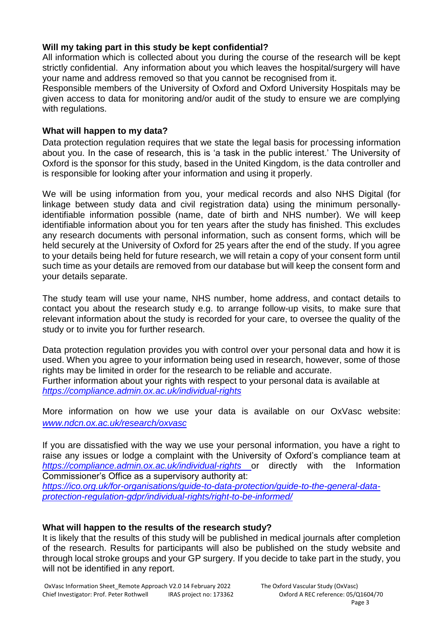## **Will my taking part in this study be kept confidential?**

All information which is collected about you during the course of the research will be kept strictly confidential. Any information about you which leaves the hospital/surgery will have your name and address removed so that you cannot be recognised from it.

Responsible members of the University of Oxford and Oxford University Hospitals may be given access to data for monitoring and/or audit of the study to ensure we are complying with regulations.

#### **What will happen to my data?**

Data protection regulation requires that we state the legal basis for processing information about you. In the case of research, this is 'a task in the public interest.' The University of Oxford is the sponsor for this study, based in the United Kingdom, is the data controller and is responsible for looking after your information and using it properly.

We will be using information from you, your medical records and also NHS Digital (for linkage between study data and civil registration data) using the minimum personallyidentifiable information possible (name, date of birth and NHS number). We will keep identifiable information about you for ten years after the study has finished. This excludes any research documents with personal information, such as consent forms, which will be held securely at the University of Oxford for 25 years after the end of the study. If you agree to your details being held for future research, we will retain a copy of your consent form until such time as your details are removed from our database but will keep the consent form and your details separate.

The study team will use your name, NHS number, home address, and contact details to contact you about the research study e.g. to arrange follow-up visits, to make sure that relevant information about the study is recorded for your care, to oversee the quality of the study or to invite you for further research.

Data protection regulation provides you with control over your personal data and how it is used. When you agree to your information being used in research, however, some of those rights may be limited in order for the research to be reliable and accurate. Further information about your rights with respect to your personal data is available at *<https://compliance.admin.ox.ac.uk/individual-rights>*

More information on how we use your data is available on our OxVasc website: *[www.ndcn.ox.ac.uk/research/oxvasc](http://www.ndcn.ox.ac.uk/research/oxvasc)*

If you are dissatisfied with the way we use your personal information, you have a right to raise any issues or lodge a complaint with the University of Oxford's compliance team at *<https://compliance.admin.ox.ac.uk/individual-rights>* or directly with the Information Commissioner's Office as a supervisory authority at:

*[https://ico.org.uk/for-organisations/guide-to-data-protection/guide-to-the-general-data](https://ico.org.uk/for-organisations/guide-to-data-protection/guide-to-the-general-data-protection-regulation-gdpr/individual-rights/right-to-be-informed/)[protection-regulation-gdpr/individual-rights/right-to-be-informed/](https://ico.org.uk/for-organisations/guide-to-data-protection/guide-to-the-general-data-protection-regulation-gdpr/individual-rights/right-to-be-informed/)*

#### **What will happen to the results of the research study?**

It is likely that the results of this study will be published in medical journals after completion of the research. Results for participants will also be published on the study website and through local stroke groups and your GP surgery. If you decide to take part in the study, you will not be identified in any report.